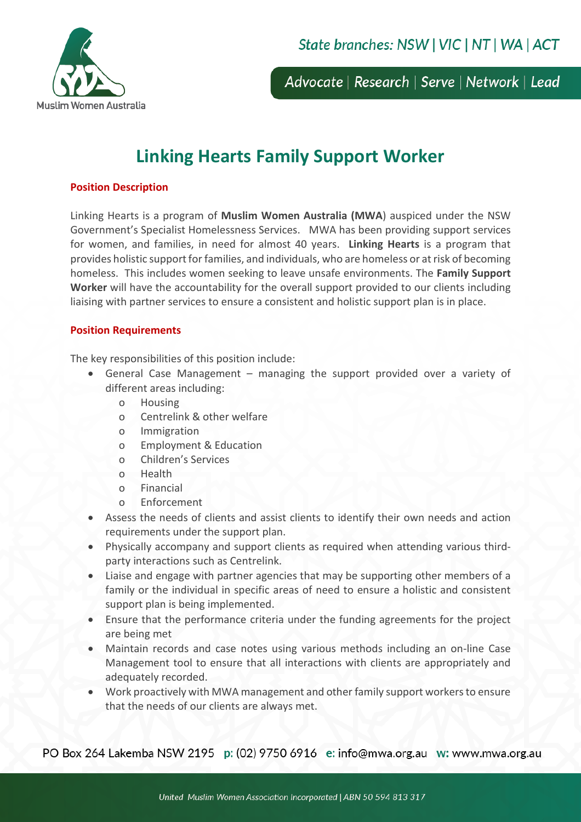

Advocate | Research | Serve | Network | Lead

# **Linking Hearts Family Support Worker**

## **Position Description**

Linking Hearts is a program of **Muslim Women Australia (MWA**) auspiced under the NSW Government's Specialist Homelessness Services. MWA has been providing support services for women, and families, in need for almost 40 years. **Linking Hearts** is a program that provides holistic support for families, and individuals, who are homeless or at risk of becoming homeless. This includes women seeking to leave unsafe environments. The **Family Support Worker** will have the accountability for the overall support provided to our clients including liaising with partner services to ensure a consistent and holistic support plan is in place.

#### **Position Requirements**

The key responsibilities of this position include:

- General Case Management managing the support provided over a variety of different areas including:
	- o Housing
	- o Centrelink & other welfare
	- o Immigration
	- o Employment & Education
	- o Children's Services
	- o Health
	- o Financial
	- o Enforcement
- Assess the needs of clients and assist clients to identify their own needs and action requirements under the support plan.
- Physically accompany and support clients as required when attending various thirdparty interactions such as Centrelink.
- Liaise and engage with partner agencies that may be supporting other members of a family or the individual in specific areas of need to ensure a holistic and consistent support plan is being implemented.
- Ensure that the performance criteria under the funding agreements for the project are being met
- Maintain records and case notes using various methods including an on-line Case Management tool to ensure that all interactions with clients are appropriately and adequately recorded.
- Work proactively with MWA management and other family support workers to ensure that the needs of our clients are always met.

PO Box 264 Lakemba NSW 2195 p: (02) 9750 6916 e: info@mwa.org.au w: www.mwa.org.au